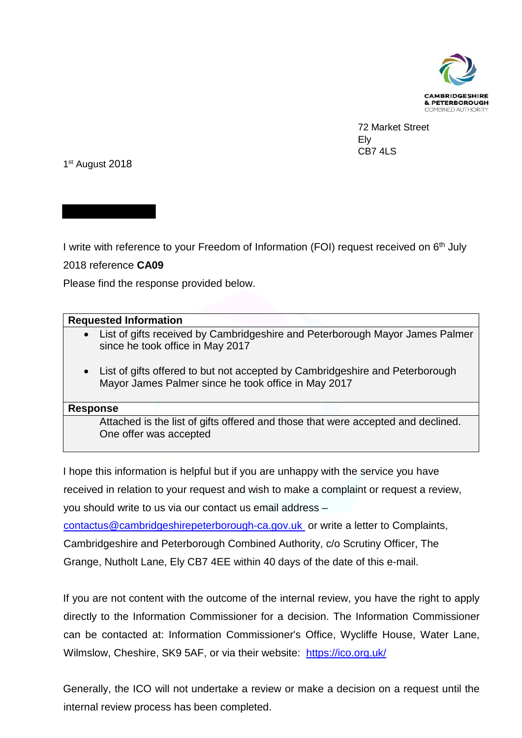

 72 Market Street Ely CB7 4LS

1st August 2018

I write with reference to your Freedom of Information (FOI) request received on 6<sup>th</sup> July

2018 reference **CA09** 

Please find the response provided below.

## **Requested Information**

- List of gifts received by Cambridgeshire and Peterborough Mayor James Palmer since he took office in May 2017
- List of gifts offered to but not accepted by Cambridgeshire and Peterborough Mayor James Palmer since he took office in May 2017

## **Response**

Attached is the list of gifts offered and those that were accepted and declined. One offer was accepted

I hope this information is helpful but if you are unhappy with the service you have received in relation to your request and wish to make a complaint or request a review, you should write to us via our contact us email address – [contactus@cambridgeshirepeterborough-ca.gov.uk](mailto:contactus@cambridgeshirepeterborough-ca.gov.uk) or write a letter to Complaints, Cambridgeshire and Peterborough Combined Authority, c/o Scrutiny Officer, The Grange, Nutholt Lane, Ely CB7 4EE within 40 days of the date of this e-mail.

If you are not content with the outcome of the internal review, you have the right to apply directly to the Information Commissioner for a decision. The Information Commissioner can be contacted at: Information Commissioner's Office, Wycliffe House, Water Lane, Wilmslow, Cheshire, SK9 5AF, or via their website: <https://ico.org.uk/>

Generally, the ICO will not undertake a review or make a decision on a request until the internal review process has been completed.